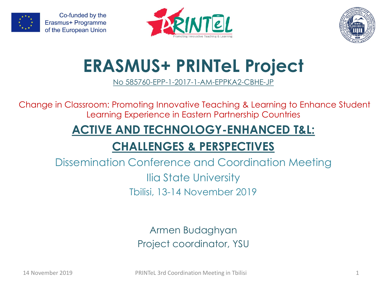

Co-funded by the Erasmus+ Programme of the European Union





# **ERASMUS+ PRINTeL Project**

No 585760-EPP-1-2017-1-AM-EPPKA2-CBHE-JP

Change in Classroom: Promoting Innovative Teaching & Learning to Enhance Student Learning Experience in Eastern Partnership Countries

# **ACTIVE AND TECHNOLOGY-ENHANCED T&L:**

# **CHALLENGES & PERSPECTIVES**

Dissemination Conference and Coordination Meeting Ilia State University Tbilisi, 13-14 November 2019

> Armen Budaghyan Project coordinator, YSU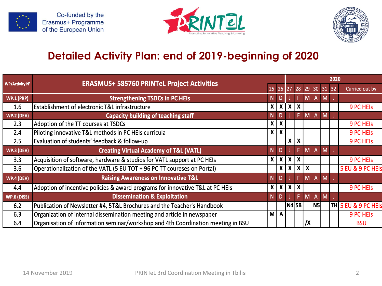





|                       | <b>ERASMUS+ 585760 PRINTeL Project Activities</b>                                |                |              |                  | 2020             |                  |                |   |    |                               |
|-----------------------|----------------------------------------------------------------------------------|----------------|--------------|------------------|------------------|------------------|----------------|---|----|-------------------------------|
| <b>WP/Activity N°</b> | 25 26 27                                                                         |                |              |                  | 28 29 30 31      |                  |                |   | 32 | Curried out by                |
| <b>WP.1 (PRP)</b>     | <b>Strengthening TSDCs in PC HEIs</b>                                            | N              |              |                  |                  |                  | A              | M |    |                               |
| $1.6\,$               | Establishment of electronic T&L infrastructure                                   | $x \mid$       |              | $x \mid x \mid$  | $\boldsymbol{x}$ |                  |                |   |    | 9 PC HEIS                     |
| <b>WP.2 (DEV)</b>     | <b>Capacity building of teaching staff</b>                                       | N              | D            |                  | F.               | M                | $\mathsf{A}$   | M |    |                               |
| 2.3                   | Adoption of the TT courses at TSDCs                                              | x <sub>1</sub> | X            |                  |                  |                  |                |   |    | <b>9 PC HEIS</b>              |
| 2.4                   | Piloting innovative T&L methods in PC HEIs curricula                             | x <sub>1</sub> | $\mathbf{x}$ |                  |                  |                  |                |   |    | <b>9 PC HEIS</b>              |
| 2.5                   | Evaluation of students' feedback & follow-up                                     |                |              | X                | X                |                  |                |   |    | <b>9 PC HEIS</b>              |
| <b>WP.3 (DEV)</b>     | <b>Creating Virtual Academy of T&amp;L (VATL)</b>                                | N <sub>1</sub> | D            |                  | F.               | M                | $\overline{A}$ | M |    |                               |
| 3.3                   | Acquisition of software, hardware & studios for VATL support at PC HEIs          | x <sub>1</sub> | $x \mid$     | $\boldsymbol{x}$ | X                |                  |                |   |    | 9 PC HEIS                     |
| 3.6                   | Operationalization of the VATL (5 EU TOT + 96 PC TT coureses on Portal)          |                | $x \mid$     | $\boldsymbol{x}$ | X                | $\boldsymbol{x}$ |                |   |    | 5 EU & 9 PC HEIS              |
| <b>WP.4 (DEV)</b>     | <b>Raising Awareness on Innovative T&amp;L</b>                                   | N              | D.           |                  | F.               | M                | $\overline{A}$ | M |    |                               |
| 4.4                   | Adoption of incentive policies & award programs for innovative T&L at PC HEIs    | x <sub>1</sub> |              | $x \mid x \mid$  | $\boldsymbol{x}$ |                  |                |   |    | 9 PC HEIS                     |
| WP.6 (DISS)           | <b>Dissemination &amp; Exploitation</b>                                          | N              | D            |                  | F.               | M <sub>1</sub>   | $\overline{A}$ | M |    |                               |
| 6.2                   | Publication of Newsletter #4, 5T&L Brochures and the Teacher's Handbook          |                |              |                  | N4 5B            |                  | N <sub>5</sub> |   |    | $ {\sf TH} $ 5 EU & 9 PC HEIs |
| 6.3                   | Organization of internal dissemination meeting and article in newspaper          | $M \mid A$     |              |                  |                  |                  |                |   |    | <b>9 PC HEIS</b>              |
| 6.4                   | Organisation of information seminar/workshop and 4th Coordination meeting in BSU |                |              |                  |                  | /Х               |                |   |    | <b>BSU</b>                    |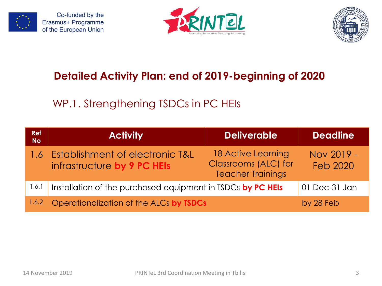

Co-funded by the Erasmus+ Programme of the European Union





#### **Detailed Activity Plan: end of 2019-beginning of 2020**

# WP.1. Strengthening TSDCs in PC HEIs

| <b>Ref</b><br><b>No</b> | <b>Activity</b>                                                | <b>Deliverable</b>                                                     | <b>Deadline</b>               |
|-------------------------|----------------------------------------------------------------|------------------------------------------------------------------------|-------------------------------|
| 1.6                     | Establishment of electronic T&L<br>infrastructure by 9 PC HEIs | 18 Active Learning<br>Classrooms (ALC) for<br><b>Teacher Trainings</b> | Nov 2019 -<br><b>Feb 2020</b> |
| 1.6.1                   | Installation of the purchased equipment in TSDCs by PC HEIs    |                                                                        | 01 Dec-31 Jan                 |
| 1.6.2                   | Operationalization of the ALCs by TSDCs                        |                                                                        | by 28 Feb                     |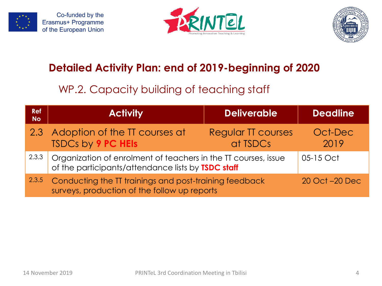





#### WP.2. Capacity building of teaching staff

| <b>Ref</b><br><b>No</b> | <b>Activity</b>                                                                                                      | <b>Deliverable</b>             | <b>Deadline</b> |
|-------------------------|----------------------------------------------------------------------------------------------------------------------|--------------------------------|-----------------|
|                         | 2.3 Adoption of the TT courses at<br><b>TSDCs by 9 PC HEIS</b>                                                       | Regular TT courses<br>at TSDCs | Oct-Dec<br>2019 |
| 2.3.3                   | Organization of enrolment of teachers in the TT courses, issue<br>of the participants/attendance lists by TSDC staff |                                | 05-15 Oct       |
| 2.3.5                   | Conducting the TT trainings and post-training feedback<br>surveys, production of the follow up reports               |                                | 20 Oct -20 Dec  |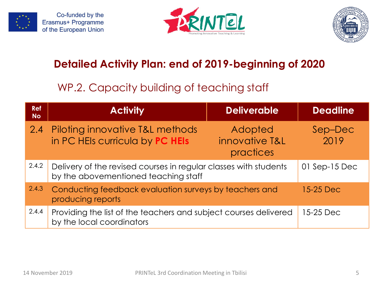







#### WP.2. Capacity building of teaching staff

| <b>Ref</b><br><b>No</b> | <b>Activity</b>                                                                                          | <b>Deliverable</b>                     | <b>Deadline</b> |
|-------------------------|----------------------------------------------------------------------------------------------------------|----------------------------------------|-----------------|
| 2.4                     | Piloting innovative T&L methods<br>in PC HEIs curricula by PC HEIs                                       | Adopted<br>innovative T&L<br>practices | Sep-Dec<br>2019 |
| 2.4.2                   | Delivery of the revised courses in regular classes with students<br>by the abovementioned teaching staff |                                        | 01 Sep-15 Dec   |
| 2.4.3                   | Conducting feedback evaluation surveys by teachers and<br>producing reports                              |                                        | 15-25 Dec       |
| 2.4.4                   | Providing the list of the teachers and subject courses delivered<br>by the local coordinators            |                                        | 15-25 Dec       |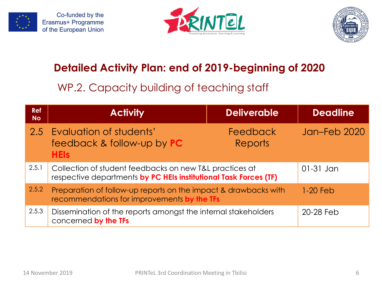





#### WP.2. Capacity building of teaching staff

| <b>Ref</b><br><b>No</b> | <b>Activity</b>                                                                                                | <b>Deliverable</b>                                                                                                          | <b>Deadline</b> |
|-------------------------|----------------------------------------------------------------------------------------------------------------|-----------------------------------------------------------------------------------------------------------------------------|-----------------|
|                         | 2.5 Evaluation of students'<br>feedback & follow-up by PC<br><b>HEIs</b>                                       | <b>Feedback</b><br><b>Reports</b>                                                                                           | Jan-Feb 2020    |
| 2.5.1                   |                                                                                                                | Collection of student feedbacks on new T&L practices at<br>respective departments by PC HEIs institutional Task Forces (TF) |                 |
| 2.5.2                   | Preparation of follow-up reports on the impact & drawbacks with<br>recommendations for improvements by the TFs |                                                                                                                             | $1-20$ Feb      |
| 2.5.3                   | Dissemination of the reports amongst the internal stakeholders<br>concerned by the TFs                         |                                                                                                                             | 20-28 Feb       |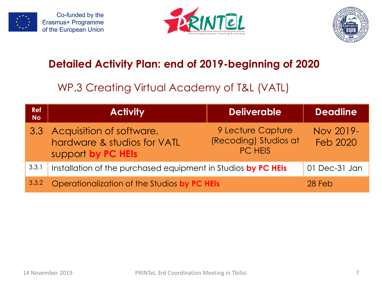







#### WP.3 Creating Virtual Academy of T&L (VATL)

| <b>Ref</b><br><b>No</b> | <b>Activity</b>                                                                   | <b>Deliverable</b>                                           | <b>Deadline</b>              |
|-------------------------|-----------------------------------------------------------------------------------|--------------------------------------------------------------|------------------------------|
|                         | 3.3 Acquisition of software,<br>hardware & studios for VATL<br>support by PC HEIs | 9 Lecture Capture<br>(Recoding) Studios at<br><b>PC HEIS</b> | Nov 2019-<br><b>Feb 2020</b> |
| 3.3.1                   | Installation of the purchased equipment in Studios by PC HEIs                     |                                                              | 01 Dec-31 Jan                |
| 3.3.2                   | Operationalization of the Studios by PC HEIs                                      |                                                              | 28 Feb                       |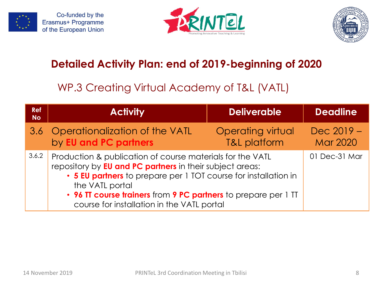







#### WP.3 Creating Virtual Academy of T&L (VATL)

| <b>Ref</b><br><b>No</b> | <b>Activity</b>                                                                                                                  | <b>Deliverable</b>                                                                                                                                                                             | <b>Deadline</b>                 |
|-------------------------|----------------------------------------------------------------------------------------------------------------------------------|------------------------------------------------------------------------------------------------------------------------------------------------------------------------------------------------|---------------------------------|
|                         | 3.6 Operationalization of the VATL<br>by EU and PC partners                                                                      | <b>Operating virtual</b><br><b>T&amp;L platform</b>                                                                                                                                            | $Dec 2019 -$<br><b>Mar 2020</b> |
| 3.6.2                   | repository by <b>EU and PC partners</b> in their subject areas:<br>the VATL portal<br>course for installation in the VATL portal | Production & publication of course materials for the VATL<br>• 5 EU partners to prepare per 1 TOT course for installation in<br>• 96 TT course trainers from 9 PC partners to prepare per 1 TT |                                 |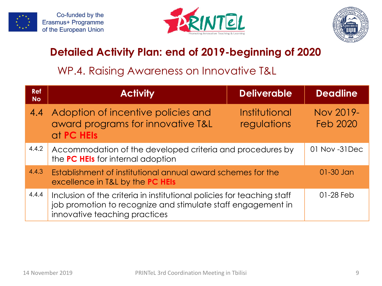







#### WP.4. Raising Awareness on Innovative T&L

| <b>Ref</b><br><b>No</b> | <b>Activity</b>                                                                                                                                                         | <b>Deliverable</b>           | <b>Deadline</b>              |
|-------------------------|-------------------------------------------------------------------------------------------------------------------------------------------------------------------------|------------------------------|------------------------------|
| 4.4                     | Adoption of incentive policies and<br>award programs for innovative T&L<br>at PC HEIS                                                                                   | Institutional<br>regulations | Nov 2019-<br><b>Feb 2020</b> |
| 4.4.2                   | Accommodation of the developed criteria and procedures by<br>the PC HEIs for internal adoption                                                                          |                              | 01 Nov -31 Dec               |
| 4.4.3                   | Establishment of institutional annual award schemes for the<br>excellence in T&L by the PC HEIs                                                                         |                              | $01-30$ Jan                  |
| 4.4.4                   | Inclusion of the criteria in institutional policies for teaching staff<br>job promotion to recognize and stimulate staff engagement in<br>innovative teaching practices |                              | $01-28$ Feb                  |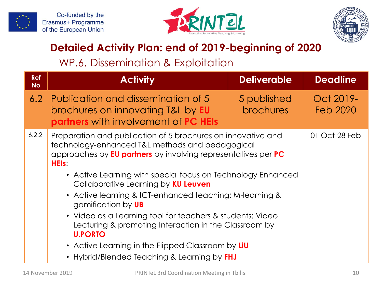





#### WP.6. Dissemination & Exploitation

| <b>Ref</b><br><b>No</b> | <b>Activity</b>                                                                                                                                                                                                                                                                                                                                                                                                                                                                                                                                                                                                                                  | <b>Deliverable</b>              | <b>Deadline</b>       |
|-------------------------|--------------------------------------------------------------------------------------------------------------------------------------------------------------------------------------------------------------------------------------------------------------------------------------------------------------------------------------------------------------------------------------------------------------------------------------------------------------------------------------------------------------------------------------------------------------------------------------------------------------------------------------------------|---------------------------------|-----------------------|
| 6.2                     | Publication and dissemination of 5<br>brochures on innovating T&L by <b>EU</b><br><b>partners</b> with involvement of PC HEIs                                                                                                                                                                                                                                                                                                                                                                                                                                                                                                                    | 5 published<br><b>brochures</b> | Oct 2019-<br>Feb 2020 |
| 6.2.2                   | Preparation and publication of 5 brochures on innovative and<br>technology-enhanced T&L methods and pedagogical<br>approaches by <b>EU partners</b> by involving representatives per <b>PC</b><br><b>HEIS</b><br>• Active Learning with special focus on Technology Enhanced<br>Collaborative Learning by KU Leuven<br>• Active learning & ICT-enhanced teaching: M-learning &<br>gamification by UB<br>• Video as a Learning tool for teachers & students: Video<br>Lecturing & promoting Interaction in the Classroom by<br><b>U.PORTO</b><br>• Active Learning in the Flipped Classroom by LiU<br>• Hybrid/Blended Teaching & Learning by FHJ |                                 | 01 Oct-28 Feb         |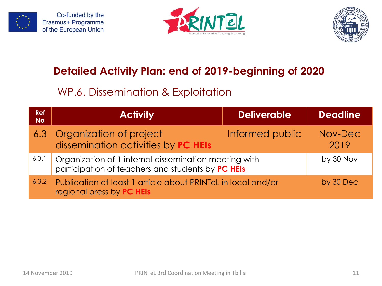





#### WP.6. Dissemination & Exploitation

| <b>Ref</b><br><b>No</b> | <b>Activity</b>                                                                                            | <b>Deliverable</b> | <b>Deadline</b> |
|-------------------------|------------------------------------------------------------------------------------------------------------|--------------------|-----------------|
|                         | 6.3 Organization of project<br>dissemination activities by PC HEIs                                         | Informed public    | Nov-Dec<br>2019 |
| 6.3.1                   | Organization of 1 internal dissemination meeting with<br>participation of teachers and students by PC HEIS |                    | by 30 Nov       |
| 6.3.2                   | Publication at least 1 article about PRINTeL in local and/or<br>regional press by PC HEIs                  |                    | by 30 Dec       |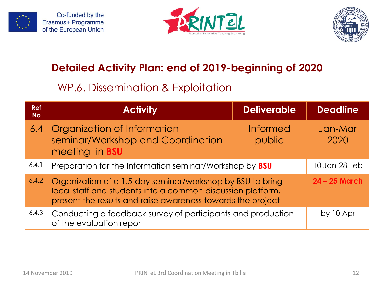





#### WP.6. Dissemination & Exploitation

| <b>Ref</b><br><b>No</b> | <b>Activity</b>                                                                                                                                                                          | <b>Deliverable</b>        | <b>Deadline</b> |
|-------------------------|------------------------------------------------------------------------------------------------------------------------------------------------------------------------------------------|---------------------------|-----------------|
| 6.4                     | Organization of Information<br>seminar/Workshop and Coordination<br>meeting in <b>BSU</b>                                                                                                | <b>Informed</b><br>public | Jan-Mar<br>2020 |
| 6.4.1                   | Preparation for the Information seminar/Workshop by <b>BSU</b>                                                                                                                           |                           | 10 Jan-28 Feb   |
| 6.4.2                   | Organization of a 1.5-day seminar/workshop by BSU to bring<br>local staff and students into a common discussion platform,<br>present the results and raise awareness towards the project |                           | $24 - 25$ March |
| 6.4.3                   | Conducting a feedback survey of participants and production<br>of the evaluation report                                                                                                  |                           | by 10 Apr       |